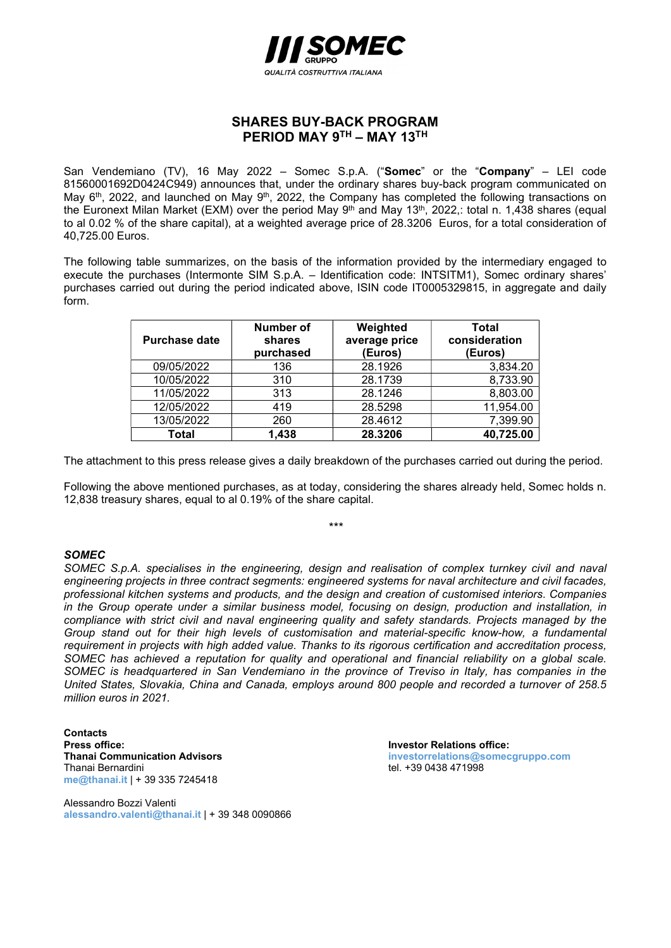

## SHARES BUY-BACK PROGRAM PERIOD MAY 9TH - MAY 13TH

San Vendemiano (TV), 16 May 2022 – Somec S.p.A. ("Somec" or the "Company" – LEI code 81560001692D0424C949) announces that, under the ordinary shares buy-back program communicated on May 6<sup>th</sup>, 2022, and launched on May 9<sup>th</sup>, 2022, the Company has completed the following transactions on the Euronext Milan Market (EXM) over the period May 9<sup>th</sup> and May 13<sup>th</sup>, 2022,: total n. 1,438 shares (equal to al 0.02 % of the share capital), at a weighted average price of 28.3206 Euros, for a total consideration of 40,725.00 Euros.

The following table summarizes, on the basis of the information provided by the intermediary engaged to execute the purchases (Intermonte SIM S.p.A. – Identification code: INTSITM1), Somec ordinary shares' purchases carried out during the period indicated above, ISIN code IT0005329815, in aggregate and daily form.

| <b>Purchase date</b> | <b>Number of</b><br>shares<br>purchased | Weighted<br>average price<br>(Euros) | Total<br>consideration<br>(Euros) |
|----------------------|-----------------------------------------|--------------------------------------|-----------------------------------|
| 09/05/2022           | 136                                     | 28.1926                              | 3,834.20                          |
| 10/05/2022           | 310                                     | 28.1739                              | 8,733.90                          |
| 11/05/2022           | 313                                     | 28.1246                              | 8,803.00                          |
| 12/05/2022           | 419                                     | 28.5298                              | 11,954.00                         |
| 13/05/2022           | 260                                     | 28.4612                              | 7,399.90                          |
| Total                | 1,438                                   | 28.3206                              | 40,725.00                         |

The attachment to this press release gives a daily breakdown of the purchases carried out during the period.

Following the above mentioned purchases, as at today, considering the shares already held, Somec holds n. 12,838 treasury shares, equal to al 0.19% of the share capital.

## \*\*\*

## **SOMEC**

SOMEC S.p.A. specialises in the engineering, design and realisation of complex turnkey civil and naval engineering projects in three contract segments: engineered systems for naval architecture and civil facades, professional kitchen systems and products, and the design and creation of customised interiors. Companies in the Group operate under a similar business model, focusing on design, production and installation, in compliance with strict civil and naval engineering quality and safety standards. Projects managed by the Group stand out for their high levels of customisation and material-specific know-how, a fundamental requirement in projects with high added value. Thanks to its rigorous certification and accreditation process, SOMEC has achieved a reputation for quality and operational and financial reliability on a global scale. SOMEC is headquartered in San Vendemiano in the province of Treviso in Italy, has companies in the United States, Slovakia, China and Canada, employs around 800 people and recorded a turnover of 258.5 million euros in 2021.

Contacts<br>Press office: Press office:<br>
Thanai Communication Advisors<br>
Thanai Communication Advisors Thanai Bernardini **tel. +39 0438 471998** me@thanai.it | + 39 335 7245418

Alessandro Bozzi Valenti alessandro.valenti@thanai.it | + 39 348 0090866 investorrelations@somecgruppo.com